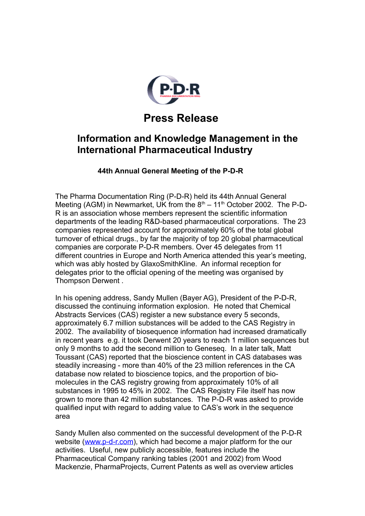

## **Press Release**

## **Information and Knowledge Management in the International Pharmaceutical Industry**

## **44th Annual General Meeting of the P-D-R**

The Pharma Documentation Ring (P-D-R) held its 44th Annual General Meeting (AGM) in Newmarket, UK from the  $8<sup>th</sup> - 11<sup>th</sup>$  October 2002. The P-D-R is an association whose members represent the scientific information departments of the leading R&D-based pharmaceutical corporations. The 23 companies represented account for approximately 60% of the total global turnover of ethical drugs., by far the majority of top 20 global pharmaceutical companies are corporate P-D-R members. Over 45 delegates from 11 different countries in Europe and North America attended this year's meeting, which was ably hosted by GlaxoSmithKline. An informal reception for delegates prior to the official opening of the meeting was organised by Thompson Derwent .

In his opening address, Sandy Mullen (Bayer AG), President of the P-D-R, discussed the continuing information explosion. He noted that Chemical Abstracts Services (CAS) register a new substance every 5 seconds, approximately 6.7 million substances will be added to the CAS Registry in 2002. The availability of biosequence information had increased dramatically in recent years e.g. it took Derwent 20 years to reach 1 million sequences but only 9 months to add the second million to Geneseq. In a later talk, Matt Toussant (CAS) reported that the bioscience content in CAS databases was steadily increasing - more than 40% of the 23 million references in the CA database now related to bioscience topics, and the proportion of biomolecules in the CAS registry growing from approximately 10% of all substances in 1995 to 45% in 2002. The CAS Registry File itself has now grown to more than 42 million substances. The P-D-R was asked to provide qualified input with regard to adding value to CAS's work in the sequence area

Sandy Mullen also commented on the successful development of the P-D-R website [\(www.p-d-r.com\)](http://www.p-d-r.com/), which had become a major platform for the our activities. Useful, new publicly accessible, features include the Pharmaceutical Company ranking tables (2001 and 2002) from Wood Mackenzie, PharmaProjects, Current Patents as well as overview articles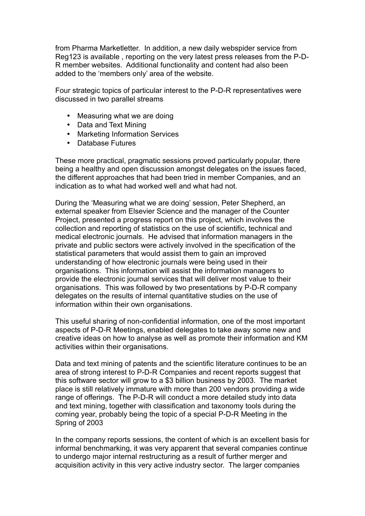from Pharma Marketletter. In addition, a new daily webspider service from Reg123 is available , reporting on the very latest press releases from the P-D-R member websites. Additional functionality and content had also been added to the 'members only' area of the website.

Four strategic topics of particular interest to the P-D-R representatives were discussed in two parallel streams

- Measuring what we are doing
- Data and Text Mining
- Marketing Information Services
- Database Futures

These more practical, pragmatic sessions proved particularly popular, there being a healthy and open discussion amongst delegates on the issues faced, the different approaches that had been tried in member Companies, and an indication as to what had worked well and what had not.

During the 'Measuring what we are doing' session, Peter Shepherd, an external speaker from Elsevier Science and the manager of the Counter Project, presented a progress report on this project, which involves the collection and reporting of statistics on the use of scientific, technical and medical electronic journals. He advised that information managers in the private and public sectors were actively involved in the specification of the statistical parameters that would assist them to gain an improved understanding of how electronic journals were being used in their organisations. This information will assist the information managers to provide the electronic journal services that will deliver most value to their organisations. This was followed by two presentations by P-D-R company delegates on the results of internal quantitative studies on the use of information within their own organisations.

This useful sharing of non-confidential information, one of the most important aspects of P-D-R Meetings, enabled delegates to take away some new and creative ideas on how to analyse as well as promote their information and KM activities within their organisations.

Data and text mining of patents and the scientific literature continues to be an area of strong interest to P-D-R Companies and recent reports suggest that this software sector will grow to a \$3 billion business by 2003. The market place is still relatively immature with more than 200 vendors providing a wide range of offerings. The P-D-R will conduct a more detailed study into data and text mining, together with classification and taxonomy tools during the coming year, probably being the topic of a special P-D-R Meeting in the Spring of 2003

In the company reports sessions, the content of which is an excellent basis for informal benchmarking, it was very apparent that several companies continue to undergo major internal restructuring as a result of further merger and acquisition activity in this very active industry sector. The larger companies